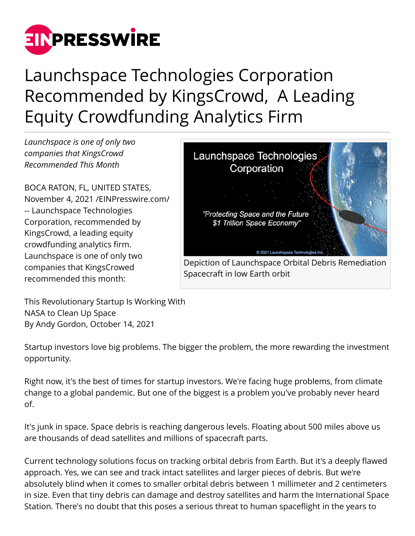

# Launchspace Technologies Corporation Recommended by KingsCrowd, A Leading Equity Crowdfunding Analytics Firm

*Launchspace is one of only two companies that KingsCrowd Recommended This Month*

BOCA RATON, FL, UNITED STATES, November 4, 2021 /[EINPresswire.com/](http://www.einpresswire.com) -- Launchspace Technologies Corporation, recommended by KingsCrowd, a leading equity crowdfunding analytics firm. Launchspace is one of only two companies that KingsCrowed recommended this month:



Spacecraft in low Earth orbit

This Revolutionary Startup Is Working With NASA to Clean Up Space By Andy Gordon, October 14, 2021

Startup investors love big problems. The bigger the problem, the more rewarding the investment opportunity.

Right now, it's the best of times for startup investors. We're facing huge problems, from climate change to a global pandemic. But one of the biggest is a problem you've probably never heard of.

It's junk in space. Space debris is reaching dangerous levels. Floating about 500 miles above us are thousands of dead satellites and millions of spacecraft parts.

Current technology solutions focus on tracking orbital debris from Earth. But it's a deeply flawed approach. Yes, we can see and track intact satellites and larger pieces of debris. But we're absolutely blind when it comes to smaller orbital debris between 1 millimeter and 2 centimeters in size. Even that tiny debris can damage and destroy satellites and harm the International Space Station. There's no doubt that this poses a serious threat to human spaceflight in the years to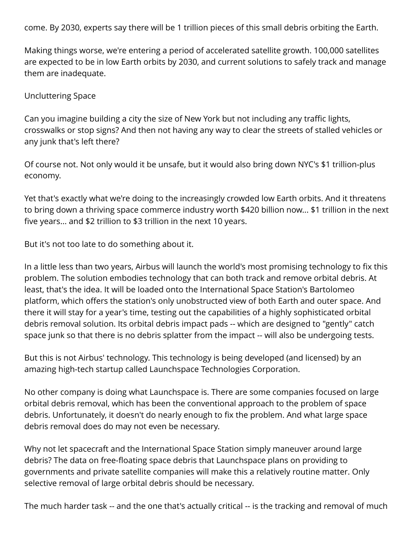come. By 2030, experts say there will be 1 trillion pieces of this small debris orbiting the Earth.

Making things worse, we're entering a period of accelerated satellite growth. 100,000 satellites are expected to be in low Earth orbits by 2030, and current solutions to safely track and manage them are inadequate.

### Uncluttering Space

Can you imagine building a city the size of New York but not including any traffic lights, crosswalks or stop signs? And then not having any way to clear the streets of stalled vehicles or any junk that's left there?

Of course not. Not only would it be unsafe, but it would also bring down NYC's \$1 trillion-plus economy.

Yet that's exactly what we're doing to the increasingly crowded low Earth orbits. And it threatens to bring down a thriving space commerce industry worth \$420 billion now... \$1 trillion in the next five years... and \$2 trillion to \$3 trillion in the next 10 years.

But it's not too late to do something about it.

In a little less than two years, Airbus will launch the world's most promising technology to fix this problem. The solution embodies technology that can both track and remove orbital debris. At least, that's the idea. It will be loaded onto the International Space Station's Bartolomeo platform, which offers the station's only unobstructed view of both Earth and outer space. And there it will stay for a year's time, testing out the capabilities of a highly sophisticated orbital debris removal solution. Its orbital debris impact pads -- which are designed to "gently" catch space junk so that there is no debris splatter from the impact -- will also be undergoing tests.

But this is not Airbus' technology. This technology is being developed (and licensed) by an amazing high-tech startup called Launchspace Technologies Corporation.

No other company is doing what Launchspace is. There are some companies focused on large orbital debris removal, which has been the conventional approach to the problem of space debris. Unfortunately, it doesn't do nearly enough to fix the problem. And what large space debris removal does do may not even be necessary.

Why not let spacecraft and the International Space Station simply maneuver around large debris? The data on free-floating space debris that Launchspace plans on providing to governments and private satellite companies will make this a relatively routine matter. Only selective removal of large orbital debris should be necessary.

The much harder task -- and the one that's actually critical -- is the tracking and removal of much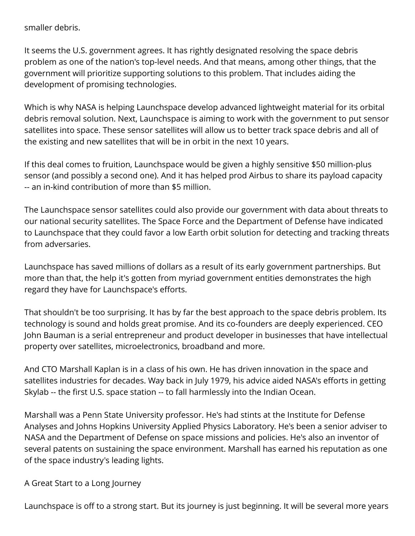smaller debris.

It seems the U.S. government agrees. It has rightly designated resolving the space debris problem as one of the nation's top-level needs. And that means, among other things, that the government will prioritize supporting solutions to this problem. That includes aiding the development of promising technologies.

Which is why NASA is helping Launchspace develop advanced lightweight material for its orbital debris removal solution. Next, Launchspace is aiming to work with the government to put sensor satellites into space. These sensor satellites will allow us to better track space debris and all of the existing and new satellites that will be in orbit in the next 10 years.

If this deal comes to fruition, Launchspace would be given a highly sensitive \$50 million-plus sensor (and possibly a second one). And it has helped prod Airbus to share its payload capacity -- an in-kind contribution of more than \$5 million.

The Launchspace sensor satellites could also provide our government with data about threats to our national security satellites. The Space Force and the Department of Defense have indicated to Launchspace that they could favor a low Earth orbit solution for detecting and tracking threats from adversaries.

Launchspace has saved millions of dollars as a result of its early government partnerships. But more than that, the help it's gotten from myriad government entities demonstrates the high regard they have for Launchspace's efforts.

That shouldn't be too surprising. It has by far the best approach to the space debris problem. Its technology is sound and holds great promise. And its co-founders are deeply experienced. CEO John Bauman is a serial entrepreneur and product developer in businesses that have intellectual property over satellites, microelectronics, broadband and more.

And CTO Marshall Kaplan is in a class of his own. He has driven innovation in the space and satellites industries for decades. Way back in July 1979, his advice aided NASA's efforts in getting Skylab -- the first U.S. space station -- to fall harmlessly into the Indian Ocean.

Marshall was a Penn State University professor. He's had stints at the Institute for Defense Analyses and Johns Hopkins University Applied Physics Laboratory. He's been a senior adviser to NASA and the Department of Defense on space missions and policies. He's also an inventor of several patents on sustaining the space environment. Marshall has earned his reputation as one of the space industry's leading lights.

## A Great Start to a Long Journey

Launchspace is off to a strong start. But its journey is just beginning. It will be several more years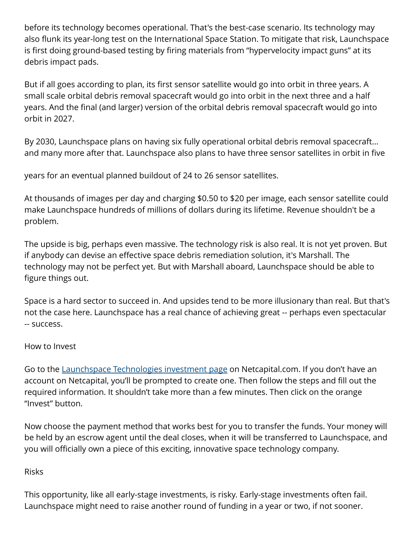before its technology becomes operational. That's the best-case scenario. Its technology may also flunk its year-long test on the International Space Station. To mitigate that risk, Launchspace is first doing ground-based testing by firing materials from "hypervelocity impact guns" at its debris impact pads.

But if all goes according to plan, its first sensor satellite would go into orbit in three years. A small scale orbital debris removal spacecraft would go into orbit in the next three and a half years. And the final (and larger) version of the orbital debris removal spacecraft would go into orbit in 2027.

By 2030, Launchspace plans on having six fully operational orbital debris removal spacecraft... and many more after that. Launchspace also plans to have three sensor satellites in orbit in five

years for an eventual planned buildout of 24 to 26 sensor satellites.

At thousands of images per day and charging \$0.50 to \$20 per image, each sensor satellite could make Launchspace hundreds of millions of dollars during its lifetime. Revenue shouldn't be a problem.

The upside is big, perhaps even massive. The technology risk is also real. It is not yet proven. But if anybody can devise an effective space debris remediation solution, it's Marshall. The technology may not be perfect yet. But with Marshall aboard, Launchspace should be able to figure things out.

Space is a hard sector to succeed in. And upsides tend to be more illusionary than real. But that's not the case here. Launchspace has a real chance of achieving great -- perhaps even spectacular -- success.

## How to Invest

Go to the [Launchspace Technologies investment page](https://netcapital.com/companies/launchspace-technologies-corporation) on Netcapital.com. If you don't have an account on Netcapital, you'll be prompted to create one. Then follow the steps and fill out the required information. It shouldn't take more than a few minutes. Then click on the orange "Invest" button.

Now choose the payment method that works best for you to transfer the funds. Your money will be held by an escrow agent until the deal closes, when it will be transferred to Launchspace, and you will officially own a piece of this exciting, innovative space technology company.

## Risks

This opportunity, like all early-stage investments, is risky. Early-stage investments often fail. Launchspace might need to raise another round of funding in a year or two, if not sooner.